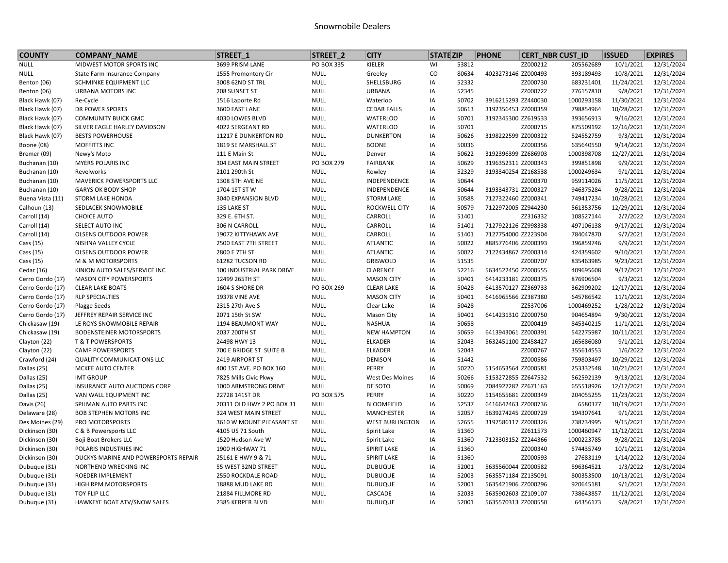## Snowmobile Dealers

| <b>COUNTY</b>    | <b>COMPANY NAME</b>                  | STREET <sub>1</sub>       | STREET <sub>2</sub> | <b>CITY</b>            | <b>STATE ZIP</b> |       | <b>PHONE</b>        | <b>CERT NBR CUST ID</b> |            | <b>ISSUED</b> | <b>EXPIRES</b> |
|------------------|--------------------------------------|---------------------------|---------------------|------------------------|------------------|-------|---------------------|-------------------------|------------|---------------|----------------|
| <b>NULL</b>      | MIDWEST MOTOR SPORTS INC             | 3699 PRISM LANE           | PO BOX 335          | KIELER                 | WI               | 53812 |                     | ZZ000212                | 205562689  | 10/1/2021     | 12/31/2024     |
| <b>NULL</b>      | State Farm Insurance Company         | 1555 Promontory Cir       | <b>NULL</b>         | Greeley                | $\mathsf{co}\,$  | 80634 | 4023273146 ZZ000493 |                         | 393189493  | 10/8/2021     | 12/31/2024     |
| Benton (06)      | SCHMINKE EQUIPMENT LLC               | 3008 62ND ST TRL          | <b>NULL</b>         | SHELLSBURG             | IA               | 52332 |                     | ZZ000730                | 683231401  | 11/24/2021    | 12/31/2024     |
| Benton (06)      | <b>URBANA MOTORS INC</b>             | 208 SUNSET ST             | <b>NULL</b>         | <b>URBANA</b>          | IA               | 52345 |                     | ZZ000722                | 776157810  | 9/8/2021      | 12/31/2024     |
| Black Hawk (07)  | Re-Cycle                             | 1516 Laporte Rd           | <b>NULL</b>         | Waterloo               | IA               | 50702 | 3916215293 ZZ440030 |                         | 1000293158 | 11/30/2021    | 12/31/2024     |
| Black Hawk (07)  | DR POWER SPORTS                      | 3600 FAST LANE            | <b>NULL</b>         | <b>CEDAR FALLS</b>     | IA               | 50613 | 3192356453 ZZ000359 |                         | 798854964  | 10/28/2021    | 12/31/2024     |
| Black Hawk (07)  | <b>COMMUNITY BUICK GMC</b>           | 4030 LOWES BLVD           | <b>NULL</b>         | <b>WATERLOO</b>        | IA               | 50701 | 3192345300 ZZ619533 |                         | 393656913  | 9/16/2021     | 12/31/2024     |
| Black Hawk (07)  | SILVER EAGLE HARLEY DAVIDSON         | 4022 SERGEANT RD          | <b>NULL</b>         | <b>WATERLOO</b>        | IA               | 50701 |                     | ZZ000715                | 875509192  | 12/16/2021    | 12/31/2024     |
| Black Hawk (07)  | <b>BESTS POWERHOUSE</b>              | 11217 E DUNKERTON RD      | <b>NULL</b>         | <b>DUNKERTON</b>       | IA               | 50626 | 3198222599 ZZ000322 |                         | 524552759  | 9/3/2021      | 12/31/2024     |
| Boone (08)       | MOFFITTS INC                         | 1819 SE MARSHALL ST       | <b>NULL</b>         | <b>BOONE</b>           | IA               | 50036 |                     | ZZ000356                | 635640550  | 9/14/2021     | 12/31/2024     |
| Bremer (09)      | Newy's Moto                          | 111 E Main St             | <b>NULL</b>         | Denver                 | IA               | 50622 | 3192396399 ZZ686903 |                         | 1000398708 | 12/27/2021    | 12/31/2024     |
| Buchanan (10)    | MYERS POLARIS INC                    | 304 EAST MAIN STREET      | PO BOX 279          | <b>FAIRBANK</b>        | IA               | 50629 | 3196352311 ZZ000343 |                         | 399851898  | 9/9/2021      | 12/31/2024     |
| Buchanan (10)    | Revelworks                           | 2101 290th St             | <b>NULL</b>         | Rowley                 | IA               | 52329 | 3193340254 ZZ168538 |                         | 1000249634 | 9/1/2021      | 12/31/2024     |
| Buchanan (10)    | MAVERICK POWERSPORTS LLC             | 1308 5TH AVE NE           | <b>NULL</b>         | INDEPENDENCE           | IA               | 50644 |                     | ZZ000370                | 959114026  | 11/5/2021     | 12/31/2024     |
| Buchanan (10)    | <b>GARYS OK BODY SHOP</b>            | 1704 1ST ST W             | <b>NULL</b>         | INDEPENDENCE           | IA               | 50644 | 3193343731 ZZ000327 |                         | 946375284  | 9/28/2021     | 12/31/2024     |
| Buena Vista (11) | <b>STORM LAKE HONDA</b>              | 3040 EXPANSION BLVD       | <b>NULL</b>         | <b>STORM LAKE</b>      | IA               | 50588 | 7127322460 ZZ000341 |                         | 749417234  | 10/28/2021    | 12/31/2024     |
| Calhoun (13)     | SEDLACEK SNOWMOBILE                  | 135 LAKE ST               | <b>NULL</b>         | ROCKWELL CITY          | IA               | 50579 | 7122972005 ZZ944230 |                         | 561353756  | 12/29/2021    | 12/31/2024     |
| Carroll (14)     | <b>CHOICE AUTO</b>                   | 329 E. 6TH ST.            | <b>NULL</b>         | CARROLL                | IA               | 51401 |                     | ZZ316332                | 108527144  | 2/7/2022      | 12/31/2024     |
| Carroll (14)     | SELECT AUTO INC                      | 306 N CARROLL             | <b>NULL</b>         | CARROLL                | IA               | 51401 | 7127922126 ZZ998338 |                         | 497106138  | 9/17/2021     | 12/31/2024     |
| Carroll (14)     | <b>OLSENS OUTDOOR POWER</b>          | 19072 KITTYHAWK AVE       | <b>NULL</b>         | CARROLL                | IA               | 51401 | 7127754000 ZZ223904 |                         | 784047870  | 9/7/2021      | 12/31/2024     |
| Cass (15)        | NISHNA VALLEY CYCLE                  | 2500 EAST 7TH STREET      | <b>NULL</b>         | <b>ATLANTIC</b>        | IA               | 50022 | 8885776406 ZZ000393 |                         | 396859746  | 9/9/2021      | 12/31/2024     |
| Cass (15)        | <b>OLSENS OUTDOOR POWER</b>          | 2800 E 7TH ST             | <b>NULL</b>         | <b>ATLANTIC</b>        | IA               | 50022 | 7122434867 ZZ000314 |                         | 424359602  | 9/10/2021     | 12/31/2024     |
| Cass (15)        | M & M MOTORSPORTS                    | 61282 TUCSON RD           | <b>NULL</b>         | GRISWOLD               | IA               | 51535 |                     | ZZ000707                | 835463985  | 9/23/2021     | 12/31/2024     |
| Cedar (16)       | KINION AUTO SALES/SERVICE INC        | 100 INDUSTRIAL PARK DRIVE | <b>NULL</b>         | <b>CLARENCE</b>        | IA               | 52216 | 5634522450 ZZ000555 |                         | 409695608  | 9/17/2021     | 12/31/2024     |
| Cerro Gordo (17) | <b>MASON CITY POWERSPORTS</b>        | 12499 265TH ST            | <b>NULL</b>         | <b>MASON CITY</b>      | IA               | 50401 | 6414233181 ZZ000375 |                         | 876906504  | 9/3/2021      | 12/31/2024     |
| Cerro Gordo (17) | <b>CLEAR LAKE BOATS</b>              | 1604 S SHORE DR           | PO BOX 269          | <b>CLEAR LAKE</b>      | IA               | 50428 | 6413570127 ZZ369733 |                         | 362909202  | 12/17/2021    | 12/31/2024     |
| Cerro Gordo (17) | <b>RLP SPECIALTIES</b>               | <b>19378 VINE AVE</b>     | <b>NULL</b>         | <b>MASON CITY</b>      | IA               | 50401 | 6416965566 ZZ387380 |                         | 645786542  | 11/1/2021     | 12/31/2024     |
| Cerro Gordo (17) | Plagge Seeds                         | 2315 27th Ave S           | <b>NULL</b>         | Clear Lake             | IA               | 50428 |                     | ZZ537006                | 1000469252 | 1/28/2022     | 12/31/2024     |
| Cerro Gordo (17) | JEFFREY REPAIR SERVICE INC           | 2071 15th St SW           | <b>NULL</b>         | <b>Mason City</b>      | IA               | 50401 | 6414231310 ZZ000750 |                         | 904654894  | 9/30/2021     | 12/31/2024     |
| Chickasaw (19)   | LE ROYS SNOWMOBILE REPAIR            | 1194 BEAUMONT WAY         | <b>NULL</b>         | <b>NASHUA</b>          | IA               | 50658 |                     | ZZ000419                | 845340215  | 11/1/2021     | 12/31/2024     |
| Chickasaw (19)   | <b>BODENSTEINER MOTORSPORTS</b>      | 2037 200TH ST             | <b>NULL</b>         | <b>NEW HAMPTON</b>     | IA               | 50659 | 6413943061 ZZ000391 |                         | 542275987  | 10/11/2021    | 12/31/2024     |
| Clayton (22)     | <b>T &amp; T POWERSPORTS</b>         | 24498 HWY 13              | <b>NULL</b>         | <b>ELKADER</b>         | IA               | 52043 | 5632451100 ZZ458427 |                         | 165686080  | 9/1/2021      | 12/31/2024     |
| Clayton (22)     | <b>CAMP POWERSPORTS</b>              | 700 E BRIDGE ST SUITE B   | <b>NULL</b>         | <b>ELKADER</b>         | IA               | 52043 |                     | ZZ000767                | 355614553  | 1/6/2022      | 12/31/2024     |
| Crawford (24)    | <b>QUALITY COMMUNICATIONS LLC</b>    | 2419 AIRPORT ST           | <b>NULL</b>         | DENISON                | IA               | 51442 |                     | ZZ000586                | 759803497  | 10/29/2021    | 12/31/2024     |
| Dallas (25)      | MCKEE AUTO CENTER                    | 400 1ST AVE. PO BOX 160   | <b>NULL</b>         | PERRY                  | IA               | 50220 | 5154653564 ZZ000581 |                         | 253332548  | 10/21/2021    | 12/31/2024     |
| Dallas (25)      | <b>IMT GROUP</b>                     | 7825 Mills Civic Pkwy     | <b>NULL</b>         | West Des Moines        | IA               | 50266 | 5153272855 ZZ647532 |                         | 562592139  | 9/13/2021     | 12/31/2024     |
| Dallas (25)      | INSURANCE AUTO AUCTIONS CORP         | 1000 ARMSTRONG DRIVE      | <b>NULL</b>         | DE SOTO                | IA               | 50069 | 7084927282 ZZ671163 |                         | 655518926  | 12/17/2021    | 12/31/2024     |
| Dallas (25)      | VAN WALL EQUIPMENT INC               | 22728 141ST DR            | <b>PO BOX 575</b>   | PERRY                  | IA               | 50220 | 5154655681 ZZ000349 |                         | 204055255  | 11/23/2021    | 12/31/2024     |
| Davis (26)       | SPILMAN AUTO PARTS INC               | 20311 OLD HWY 2 PO BOX 31 | <b>NULL</b>         | <b>BLOOMFIELD</b>      | IA               | 52537 | 6416642463 ZZ000736 |                         | 6580377    | 10/19/2021    | 12/31/2024     |
| Delaware (28)    | <b>BOB STEPHEN MOTORS INC</b>        | 324 WEST MAIN STREET      | <b>NULL</b>         | <b>MANCHESTER</b>      | IA               | 52057 | 5639274245 ZZ000729 |                         | 194307641  | 9/1/2021      | 12/31/2024     |
| Des Moines (29)  | PRO MOTORSPORTS                      | 3610 W MOUNT PLEASANT ST  | <b>NULL</b>         | <b>WEST BURLINGTON</b> | IA               | 52655 | 3197586117 ZZ000326 |                         | 738734995  | 9/15/2021     | 12/31/2024     |
| Dickinson (30)   | C & B Powersports LLC                | 4105 US 71 South          | <b>NULL</b>         | Spirit Lake            | IA               | 51360 |                     | ZZ611573                | 1000460947 | 11/12/2021    | 12/31/2024     |
| Dickinson (30)   | Boji Boat Brokers LLC                | 1520 Hudson Ave W         | <b>NULL</b>         | Spirit Lake            | IA               | 51360 | 7123303152 ZZ244366 |                         | 1000223785 | 9/28/2021     | 12/31/2024     |
| Dickinson (30)   | POLARIS INDUSTRIES INC               | 1900 HIGHWAY 71           | <b>NULL</b>         | SPIRIT LAKE            | IA               | 51360 |                     | ZZ000340                | 574435749  | 10/1/2021     | 12/31/2024     |
| Dickinson (30)   | DUCKYS MARINE AND POWERSPORTS REPAIR | 25161 E HWY 9 & 71        | <b>NULL</b>         | SPIRIT LAKE            | IA               | 51360 |                     | ZZ000593                | 27683119   | 1/14/2022     | 12/31/2024     |
| Dubuque (31)     | NORTHEND WRECKING INC                | 55 WEST 32ND STREET       | <b>NULL</b>         | <b>DUBUQUE</b>         | IA               | 52001 | 5635560044 ZZ000582 |                         | 596364521  | 1/3/2022      | 12/31/2024     |
| Dubuque (31)     | ROEDER IMPLEMENT                     | 2550 ROCKDALE ROAD        | <b>NULL</b>         | <b>DUBUQUE</b>         | IA               | 52003 | 5635571184 ZZ135091 |                         | 800353500  | 10/13/2021    | 12/31/2024     |
| Dubuque (31)     | HIGH RPM MOTORSPORTS                 | 18888 MUD LAKE RD         | <b>NULL</b>         | <b>DUBUQUE</b>         | IA               | 52001 | 5635421906 ZZ000296 |                         | 920645181  | 9/1/2021      | 12/31/2024     |
| Dubuque (31)     | TOY FLIP LLC                         | 21884 FILLMORE RD         | <b>NULL</b>         | CASCADE                | IA               | 52033 | 5635902603 ZZ109107 |                         | 738643857  | 11/12/2021    | 12/31/2024     |
| Dubuque (31)     | HAWKEYE BOAT ATV/SNOW SALES          | 2385 KERPER BLVD          | <b>NULL</b>         | <b>DUBUQUE</b>         | IA               | 52001 | 5635570313 ZZ000550 |                         | 64356173   | 9/8/2021      | 12/31/2024     |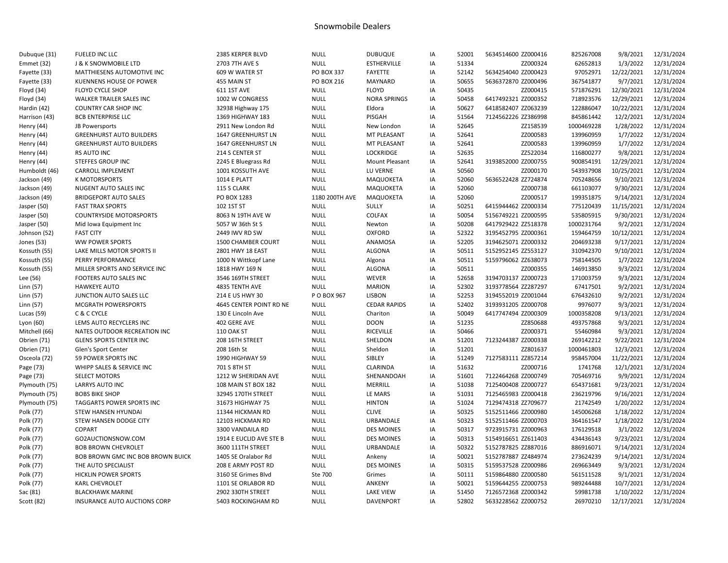## Snowmobile Dealers

| Dubuque (31)      | FUELED INC LLC                    | 2385 KERPER BLVD         | <b>NULL</b>       | <b>DUBUQUE</b>        | IA | 52001 | 5634514600 ZZ000416 | 825267008  | 9/8/2021   | 12/31/2024 |
|-------------------|-----------------------------------|--------------------------|-------------------|-----------------------|----|-------|---------------------|------------|------------|------------|
| Emmet (32)        | <b>J &amp; K SNOWMOBILE LTD</b>   | 2703 7TH AVE S           | <b>NULL</b>       | <b>ESTHERVILLE</b>    | IA | 51334 | ZZ000324            | 62652813   | 1/3/2022   | 12/31/2024 |
| Fayette (33)      | MATTHIESENS AUTOMOTIVE INC        | 609 W WATER ST           | <b>PO BOX 337</b> | <b>FAYETTE</b>        | IA | 52142 | 5634254040 ZZ000423 | 97052971   | 12/22/2021 | 12/31/2024 |
| Fayette (33)      | KUENNENS HOUSE OF POWER           | 455 MAIN ST              | PO BOX 216        | MAYNARD               | IA | 50655 | 5636372870 ZZ000496 | 367541877  | 9/7/2021   | 12/31/2024 |
| Floyd (34)        | FLOYD CYCLE SHOP                  | 611 1ST AVE              | <b>NULL</b>       | <b>FLOYD</b>          | IA | 50435 | ZZ000415            | 571876291  | 12/30/2021 | 12/31/2024 |
| Floyd (34)        | WALKER TRAILER SALES INC          | 1002 W CONGRESS          | <b>NULL</b>       | <b>NORA SPRINGS</b>   | IA | 50458 | 6417492321 ZZ000352 | 718923576  | 12/29/2021 | 12/31/2024 |
| Hardin (42)       | <b>COUNTRY CAR SHOP INC</b>       | 32938 Highway 175        | <b>NULL</b>       | Eldora                | IA | 50627 | 6418582407 ZZ063239 | 122886047  | 10/22/2021 | 12/31/2024 |
| Harrison (43)     | <b>BCB ENTERPRISE LLC</b>         | 1369 HIGHWAY 183         | <b>NULL</b>       | PISGAH                | IA | 51564 | 7124562226 ZZ386998 | 845861442  | 12/2/2021  | 12/31/2024 |
| Henry (44)        | JB Powersports                    | 2911 New London Rd       | <b>NULL</b>       | New London            | IA | 52645 | ZZ158539            | 1000469228 | 1/28/2022  | 12/31/2024 |
| Henry (44)        | <b>GREENHURST AUTO BUILDERS</b>   | 1647 GREENHURST LN       | <b>NULL</b>       | MT PLEASANT           | IA | 52641 | ZZ000583            | 139960959  | 1/7/2022   | 12/31/2024 |
| Henry (44)        | <b>GREENHURST AUTO BUILDERS</b>   | 1647 GREENHURST LN       | <b>NULL</b>       | MT PLEASANT           | IA | 52641 | ZZ000583            | 139960959  | 1/7/2022   | 12/31/2024 |
| Henry (44)        | <b>RS AUTO INC</b>                | 214 S CENTER ST          | <b>NULL</b>       | <b>LOCKRIDGE</b>      | IA | 52635 | ZZ522034            | 116800277  | 9/8/2021   | 12/31/2024 |
| Henry (44)        | STEFFES GROUP INC                 | 2245 E Bluegrass Rd      | <b>NULL</b>       | <b>Mount Pleasant</b> | IA | 52641 | 3193852000 ZZ000755 | 900854191  | 12/29/2021 | 12/31/2024 |
| Humboldt (46)     | <b>CARROLL IMPLEMENT</b>          | 1001 KOSSUTH AVE         | <b>NULL</b>       | LU VERNE              | IA | 50560 | ZZ000170            | 543937908  | 10/25/2021 | 12/31/2024 |
| Jackson (49)      | <b>K MOTORSPORTS</b>              | 1014 E PLATT             | <b>NULL</b>       | MAQUOKETA             | IA | 52060 | 5636522428 ZZ724874 | 705248656  | 9/10/2021  | 12/31/2024 |
| Jackson (49)      | NUGENT AUTO SALES INC             | 115 S CLARK              | <b>NULL</b>       | MAQUOKETA             | IA | 52060 | ZZ000738            | 661103077  | 9/30/2021  | 12/31/2024 |
| Jackson (49)      | <b>BRIDGEPORT AUTO SALES</b>      | PO BOX 1283              | 1180 200TH AVE    | MAQUOKETA             | IA | 52060 | ZZ000517            | 199351875  | 9/14/2021  | 12/31/2024 |
| Jasper (50)       | <b>FAST TRAX SPORTS</b>           | 102 1ST ST               | <b>NULL</b>       | SULLY                 | IA | 50251 | 6415944462 ZZ000334 | 775120439  | 11/15/2021 | 12/31/2024 |
| Jasper (50)       | <b>COUNTRYSIDE MOTORSPORTS</b>    | 8063 N 19TH AVE W        | <b>NULL</b>       | COLFAX                | IA | 50054 | 5156749221 ZZ000595 | 535805915  | 9/30/2021  | 12/31/2024 |
| Jasper (50)       | Mid Iowa Equipment Inc            | 5057 W 36th St S         | <b>NULL</b>       | Newton                | IA | 50208 | 6417929422 ZZ518378 | 1000231764 | 9/2/2021   | 12/31/2024 |
| Johnson (52)      | <b>FAST CITY</b>                  | 2449 IWV RD SW           | <b>NULL</b>       | <b>OXFORD</b>         | IA | 52322 | 3195452795 ZZ000361 | 159464759  | 10/12/2021 | 12/31/2024 |
| <b>Jones</b> (53) | <b>WW POWER SPORTS</b>            | 1500 CHAMBER COURT       | <b>NULL</b>       | ANAMOSA               | IA | 52205 | 3194625071 ZZ000332 | 204693238  | 9/17/2021  | 12/31/2024 |
| Kossuth (55)      | LAKE MILLS MOTOR SPORTS II        | 2801 HWY 18 EAST         | <b>NULL</b>       | ALGONA                | IA | 50511 | 5152952145 ZZ553127 | 310942370  | 9/10/2021  | 12/31/2024 |
| Kossuth (55)      | PERRY PERFORMANCE                 | 1000 N Wittkopf Lane     | <b>NULL</b>       | Algona                | IA | 50511 | 5159796062 ZZ638073 | 758144505  | 1/7/2022   | 12/31/2024 |
| Kossuth (55)      | MILLER SPORTS AND SERVICE INC     | 1818 HWY 169 N           | <b>NULL</b>       | <b>ALGONA</b>         | IA | 50511 | ZZ000355            | 146913850  | 9/3/2021   | 12/31/2024 |
| Lee (56)          | FOOTERS AUTO SALES INC            | 3546 169TH STREET        | <b>NULL</b>       | WEVER                 | IA | 52658 | 3194703137 ZZ000723 | 171003759  | 9/3/2021   | 12/31/2024 |
| Linn (57)         | <b>HAWKEYE AUTO</b>               | 4835 TENTH AVE           | <b>NULL</b>       | <b>MARION</b>         | IA | 52302 | 3193778564 ZZ287297 | 67417501   | 9/2/2021   | 12/31/2024 |
| Linn (57)         | JUNCTION AUTO SALES LLC           | 214 E US HWY 30          | P O BOX 967       | <b>LISBON</b>         | IA | 52253 | 3194552019 ZZ001044 | 676432610  | 9/2/2021   | 12/31/2024 |
| Linn (57)         | <b>MCGRATH POWERSPORTS</b>        | 4645 CENTER POINT RD NE  | <b>NULL</b>       | <b>CEDAR RAPIDS</b>   | IA | 52402 | 3193931205 ZZ000708 | 9976077    | 9/3/2021   | 12/31/2024 |
| Lucas (59)        | C & C CYCLE                       | 130 E Lincoln Ave        | <b>NULL</b>       | Chariton              | IA | 50049 | 6417747494 ZZ000309 | 1000358208 | 9/13/2021  | 12/31/2024 |
| Lyon (60)         | LEMS AUTO RECYCLERS INC           | 402 GERE AVE             | <b>NULL</b>       | <b>DOON</b>           | IA | 51235 | ZZ850688            | 493757868  | 9/3/2021   | 12/31/2024 |
| Mitchell (66)     | NATES OUTDOOR RECREATION INC      | <b>110 OAK ST</b>        | <b>NULL</b>       | <b>RICEVILLE</b>      | IA | 50466 | ZZ000371            | 55460984   | 9/3/2021   | 12/31/2024 |
| Obrien (71)       | <b>GLENS SPORTS CENTER INC</b>    | 208 16TH STREET          | <b>NULL</b>       | SHELDON               | IA | 51201 | 7123244387 ZZ000338 | 269142212  | 9/22/2021  | 12/31/2024 |
| Obrien (71)       | Glen's Sport Center               | 208 16th St              | <b>NULL</b>       | Sheldon               | IA | 51201 | ZZ801637            | 1000461803 | 12/3/2021  | 12/31/2024 |
| Osceola (72)      | 59 POWER SPORTS INC               | 1990 HIGHWAY 59          | <b>NULL</b>       | SIBLEY                | IA | 51249 | 7127583111 ZZ857214 | 958457004  | 11/22/2021 | 12/31/2024 |
| Page (73)         | WHIPP SALES & SERVICE INC         | 701 S 8TH ST             | <b>NULL</b>       | CLARINDA              | IA | 51632 | ZZ000716            | 1741768    | 12/1/2021  | 12/31/2024 |
| Page (73)         | SELECT MOTORS                     | 1212 W SHERIDAN AVE      | <b>NULL</b>       | SHENANDOAH            | IA | 51601 | 7122464268 ZZ000749 | 705469716  | 9/9/2021   | 12/31/2024 |
| Plymouth (75)     | <b>LARRYS AUTO INC</b>            | 108 MAIN ST BOX 182      | <b>NULL</b>       | MERRILL               | IA | 51038 | 7125400408 ZZ000727 | 654371681  | 9/23/2021  | 12/31/2024 |
| Plymouth (75)     | <b>BOBS BIKE SHOP</b>             | 32945 170TH STREET       | <b>NULL</b>       | LE MARS               | IA | 51031 | 7125465983 ZZ000418 | 236219796  | 9/16/2021  | 12/31/2024 |
| Plymouth (75)     | TAGGARTS POWER SPORTS INC         | 31673 HIGHWAY 75         | <b>NULL</b>       | <b>HINTON</b>         | IA | 51024 | 7129474318 ZZ709677 | 21742549   | 1/20/2022  | 12/31/2024 |
| Polk (77)         | <b>STEW HANSEN HYUNDAI</b>        | 11344 HICKMAN RD         | <b>NULL</b>       | <b>CLIVE</b>          | IA | 50325 | 5152511466 ZZ000980 | 145006268  | 1/18/2022  | 12/31/2024 |
| Polk (77)         | STEW HANSEN DODGE CITY            | 12103 HICKMAN RD         | <b>NULL</b>       | URBANDALE             | IA | 50323 | 5152511466 ZZ000703 | 364161547  | 1/18/2022  | 12/31/2024 |
| Polk (77)         | <b>COPART</b>                     | 3300 VANDAILA RD         | <b>NULL</b>       | <b>DES MOINES</b>     | IA | 50317 | 9723915731 ZZ000963 | 176129518  | 3/1/2022   | 12/31/2024 |
| Polk (77)         | GO2AUCTIONSNOW.COM                | 1914 E EUCLID AVE STE B  | <b>NULL</b>       | <b>DES MOINES</b>     | IA | 50313 | 5154916651 ZZ611403 | 434436143  | 9/23/2021  | 12/31/2024 |
| Polk (77)         | <b>BOB BROWN CHEVROLET</b>        | 3600 111TH STREET        | <b>NULL</b>       | URBANDALE             | IA | 50322 | 5152787825 ZZ887016 | 886916071  | 9/14/2021  | 12/31/2024 |
| Polk (77)         | BOB BROWN GMC INC BOB BROWN BUICK | 1405 SE Oralabor Rd      | <b>NULL</b>       | Ankeny                | IA | 50021 | 5152787887 ZZ484974 | 273624239  | 9/14/2021  | 12/31/2024 |
| Polk (77)         | THE AUTO SPECIALIST               | 208 E ARMY POST RD       | <b>NULL</b>       | <b>DES MOINES</b>     | IA | 50315 | 5159537528 ZZ000986 | 269663449  | 9/3/2021   | 12/31/2024 |
| Polk (77)         | <b>HICKLIN POWER SPORTS</b>       | 3160 SE Grimes Blvd      | Ste 700           | Grimes                | IA | 50111 | 5159864880 ZZ000580 | 561511528  | 9/1/2021   | 12/31/2024 |
| Polk (77)         | <b>KARL CHEVROLET</b>             | 1101 SE ORLABOR RD       | <b>NULL</b>       | <b>ANKENY</b>         | IA | 50021 | 5159644255 ZZ000753 | 989244488  | 10/7/2021  | 12/31/2024 |
| Sac (81)          | <b>BLACKHAWK MARINE</b>           | <b>2902 330TH STREET</b> | <b>NULL</b>       | <b>LAKE VIEW</b>      | IA | 51450 | 7126572368 ZZ000342 | 59981738   | 1/10/2022  | 12/31/2024 |
| Scott (82)        | INSURANCE AUTO AUCTIONS CORP      | 5403 ROCKINGHAM RD       | <b>NULL</b>       | <b>DAVENPORT</b>      | IA | 52802 | 5633228562 ZZ000752 | 26970210   | 12/17/2021 | 12/31/2024 |
|                   |                                   |                          |                   |                       |    |       |                     |            |            |            |